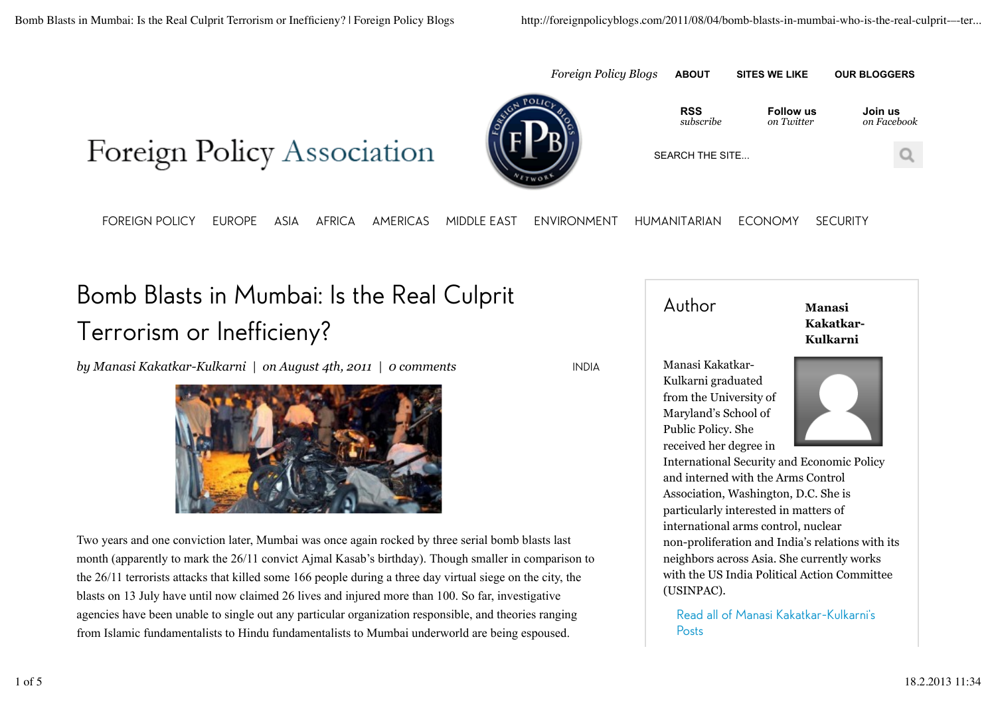



INDIA

**RSS** *subscribe* 

*Foreign Policy Blogs* **ABOUT SITES WE LIKE OUR BLOGGERS**

**Follow us** *on Twitter* 

**Join us** *on Facebook*

SEARCH THE SITE...

FOREIGN POLICY EUROPE ASIA AFRICA AMERICAS MIDDLE EAST ENVIRONMENT HUMANITARIAN ECONOMY SECURITY

## Bomb Blasts in Mumbai: Is the Real Culprit Terrorism or Inefficieny?

*by Manasi Kakatkar-Kulkarni | on August 4th, 2011 | 0 comments*



Two years and one conviction later, Mumbai was once again rocked by three serial bomb blasts last month (apparently to mark the 26/11 convict Ajmal Kasab's birthday). Though smaller in comparison to the 26/11 terrorists attacks that killed some 166 people during a three day virtual siege on the city, the blasts on 13 July have until now claimed 26 lives and injured more than 100. So far, investigative agencies have been unable to single out any particular organization responsible, and theories ranging from Islamic fundamentalists to Hindu fundamentalists to Mumbai underworld are being espoused.

## Author **Manasi Kakatkar-Kulkarni**

Manasi Kakatkar-Kulkarni graduated from the University of Maryland's School of Public Policy. She received her degree in



International Security and Economic Policy and interned with the Arms Control Association, Washington, D.C. She is particularly interested in matters of international arms control, nuclear non-proliferation and India's relations with its neighbors across Asia. She currently works with the US India Political Action Committee (USINPAC).

Read all of Manasi Kakatkar-Kulkarni's Posts